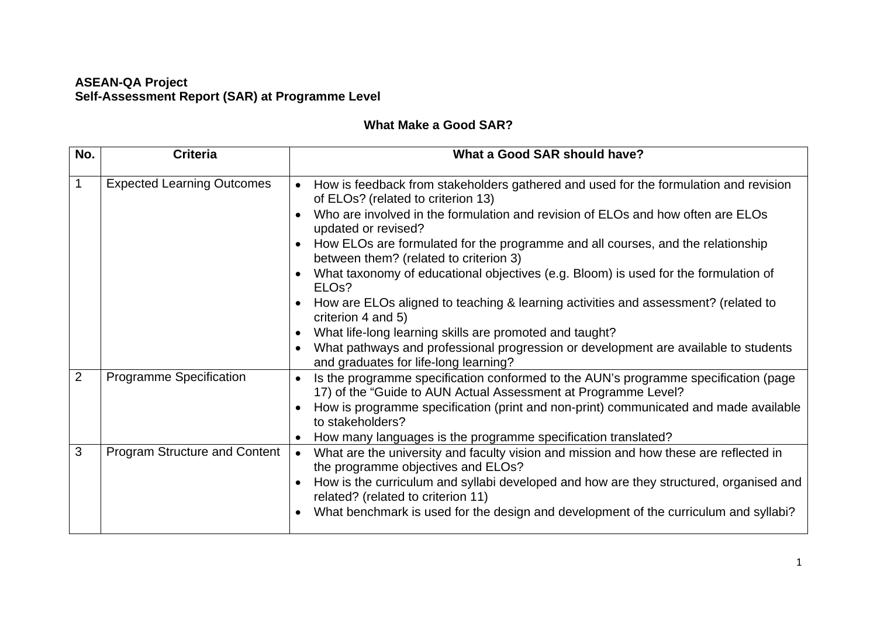## **ASEAN-QA Project Self-Assessment Report (SAR) at Programme Level**

## **What Make a Good SAR?**

| No.            | <b>Criteria</b>                      | What a Good SAR should have?                                                                                                                                                                                                                                                                                                                                                                                                                                                                                                                                                                                                                                                                                                                 |
|----------------|--------------------------------------|----------------------------------------------------------------------------------------------------------------------------------------------------------------------------------------------------------------------------------------------------------------------------------------------------------------------------------------------------------------------------------------------------------------------------------------------------------------------------------------------------------------------------------------------------------------------------------------------------------------------------------------------------------------------------------------------------------------------------------------------|
|                | <b>Expected Learning Outcomes</b>    | How is feedback from stakeholders gathered and used for the formulation and revision<br>of ELOs? (related to criterion 13)<br>Who are involved in the formulation and revision of ELOs and how often are ELOs<br>updated or revised?<br>How ELOs are formulated for the programme and all courses, and the relationship<br>between them? (related to criterion 3)<br>What taxonomy of educational objectives (e.g. Bloom) is used for the formulation of<br>ELO <sub>s</sub> ?<br>How are ELOs aligned to teaching & learning activities and assessment? (related to<br>criterion 4 and 5)<br>What life-long learning skills are promoted and taught?<br>What pathways and professional progression or development are available to students |
| $\overline{2}$ | <b>Programme Specification</b>       | and graduates for life-long learning?<br>Is the programme specification conformed to the AUN's programme specification (page<br>$\bullet$<br>17) of the "Guide to AUN Actual Assessment at Programme Level?<br>How is programme specification (print and non-print) communicated and made available<br>to stakeholders?<br>How many languages is the programme specification translated?                                                                                                                                                                                                                                                                                                                                                     |
| 3              | <b>Program Structure and Content</b> | What are the university and faculty vision and mission and how these are reflected in<br>$\bullet$<br>the programme objectives and ELOs?<br>How is the curriculum and syllabi developed and how are they structured, organised and<br>related? (related to criterion 11)<br>What benchmark is used for the design and development of the curriculum and syllabi?                                                                                                                                                                                                                                                                                                                                                                             |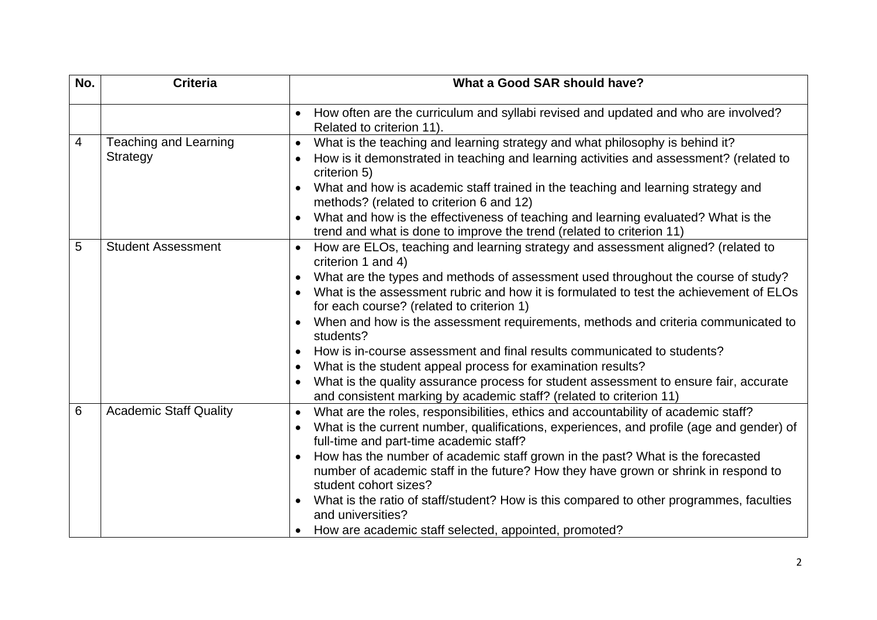| No.            | <b>Criteria</b>                                 | What a Good SAR should have?                                                                                                                                                                     |
|----------------|-------------------------------------------------|--------------------------------------------------------------------------------------------------------------------------------------------------------------------------------------------------|
|                |                                                 | How often are the curriculum and syllabi revised and updated and who are involved?<br>$\bullet$<br>Related to criterion 11).                                                                     |
| $\overline{4}$ | <b>Teaching and Learning</b><br><b>Strategy</b> | What is the teaching and learning strategy and what philosophy is behind it?<br>$\bullet$<br>How is it demonstrated in teaching and learning activities and assessment? (related to<br>$\bullet$ |
|                |                                                 | criterion 5)                                                                                                                                                                                     |
|                |                                                 | What and how is academic staff trained in the teaching and learning strategy and<br>methods? (related to criterion 6 and 12)                                                                     |
|                |                                                 | What and how is the effectiveness of teaching and learning evaluated? What is the<br>trend and what is done to improve the trend (related to criterion 11)                                       |
| 5              | <b>Student Assessment</b>                       | How are ELOs, teaching and learning strategy and assessment aligned? (related to<br>$\bullet$<br>criterion 1 and 4)                                                                              |
|                |                                                 | What are the types and methods of assessment used throughout the course of study?                                                                                                                |
|                |                                                 | What is the assessment rubric and how it is formulated to test the achievement of ELOs<br>for each course? (related to criterion 1)                                                              |
|                |                                                 | When and how is the assessment requirements, methods and criteria communicated to<br>students?                                                                                                   |
|                |                                                 | How is in-course assessment and final results communicated to students?                                                                                                                          |
|                |                                                 | What is the student appeal process for examination results?                                                                                                                                      |
|                |                                                 | What is the quality assurance process for student assessment to ensure fair, accurate<br>$\bullet$<br>and consistent marking by academic staff? (related to criterion 11)                        |
| 6              | <b>Academic Staff Quality</b>                   | What are the roles, responsibilities, ethics and accountability of academic staff?<br>$\bullet$                                                                                                  |
|                |                                                 | What is the current number, qualifications, experiences, and profile (age and gender) of<br>full-time and part-time academic staff?                                                              |
|                |                                                 | How has the number of academic staff grown in the past? What is the forecasted<br>$\bullet$                                                                                                      |
|                |                                                 | number of academic staff in the future? How they have grown or shrink in respond to<br>student cohort sizes?                                                                                     |
|                |                                                 | What is the ratio of staff/student? How is this compared to other programmes, faculties<br>and universities?                                                                                     |
|                |                                                 | How are academic staff selected, appointed, promoted?                                                                                                                                            |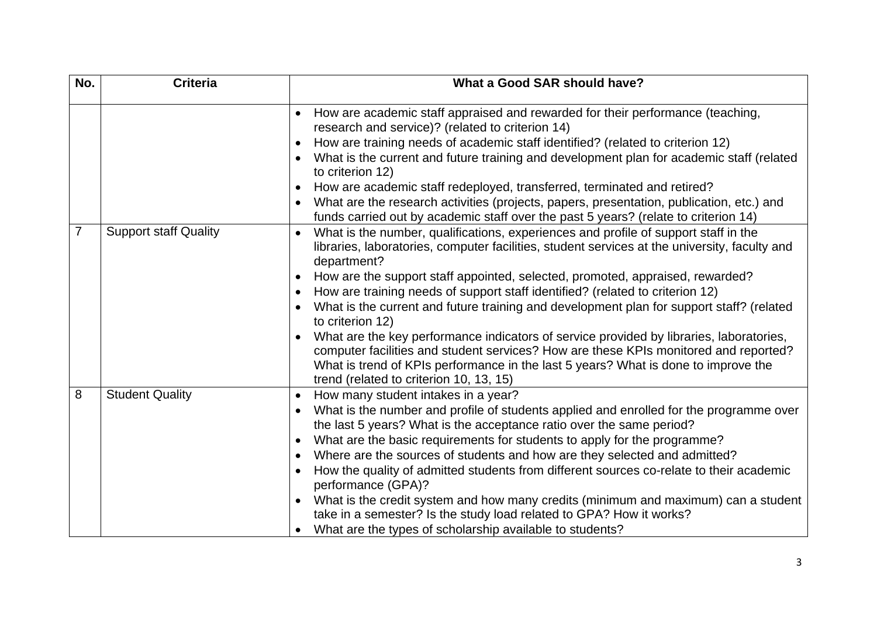| No. | <b>Criteria</b>              | What a Good SAR should have?                                                                                                                                                                                                                                                                                                                                                                                                                                                                                                                                                                                                                                                                                                                                                                                           |
|-----|------------------------------|------------------------------------------------------------------------------------------------------------------------------------------------------------------------------------------------------------------------------------------------------------------------------------------------------------------------------------------------------------------------------------------------------------------------------------------------------------------------------------------------------------------------------------------------------------------------------------------------------------------------------------------------------------------------------------------------------------------------------------------------------------------------------------------------------------------------|
|     |                              | How are academic staff appraised and rewarded for their performance (teaching,<br>research and service)? (related to criterion 14)<br>How are training needs of academic staff identified? (related to criterion 12)<br>What is the current and future training and development plan for academic staff (related<br>to criterion 12)<br>How are academic staff redeployed, transferred, terminated and retired?<br>What are the research activities (projects, papers, presentation, publication, etc.) and<br>funds carried out by academic staff over the past 5 years? (relate to criterion 14)                                                                                                                                                                                                                     |
| 7   | <b>Support staff Quality</b> | What is the number, qualifications, experiences and profile of support staff in the<br>libraries, laboratories, computer facilities, student services at the university, faculty and<br>department?<br>How are the support staff appointed, selected, promoted, appraised, rewarded?<br>$\bullet$<br>How are training needs of support staff identified? (related to criterion 12)<br>What is the current and future training and development plan for support staff? (related<br>to criterion 12)<br>What are the key performance indicators of service provided by libraries, laboratories,<br>computer facilities and student services? How are these KPIs monitored and reported?<br>What is trend of KPIs performance in the last 5 years? What is done to improve the<br>trend (related to criterion 10, 13, 15) |
| 8   | <b>Student Quality</b>       | How many student intakes in a year?<br>What is the number and profile of students applied and enrolled for the programme over<br>$\bullet$<br>the last 5 years? What is the acceptance ratio over the same period?<br>What are the basic requirements for students to apply for the programme?<br>Where are the sources of students and how are they selected and admitted?<br>How the quality of admitted students from different sources co-relate to their academic<br>performance (GPA)?<br>What is the credit system and how many credits (minimum and maximum) can a student<br>take in a semester? Is the study load related to GPA? How it works?<br>What are the types of scholarship available to students?                                                                                                  |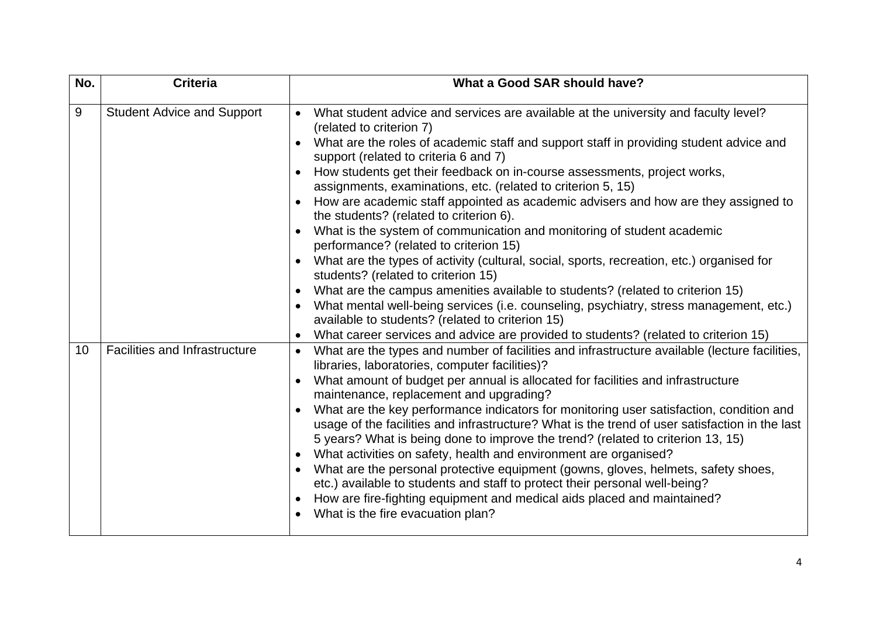| No. | <b>Criteria</b>                      | What a Good SAR should have?                                                                                                                                                                                                                                                                                                                                                                                                                                                                                                                                                                                                                                                                                                                                                                                                                                                                                                                                                                                                                                                                                                             |
|-----|--------------------------------------|------------------------------------------------------------------------------------------------------------------------------------------------------------------------------------------------------------------------------------------------------------------------------------------------------------------------------------------------------------------------------------------------------------------------------------------------------------------------------------------------------------------------------------------------------------------------------------------------------------------------------------------------------------------------------------------------------------------------------------------------------------------------------------------------------------------------------------------------------------------------------------------------------------------------------------------------------------------------------------------------------------------------------------------------------------------------------------------------------------------------------------------|
| 9   | <b>Student Advice and Support</b>    | What student advice and services are available at the university and faculty level?<br>$\bullet$<br>(related to criterion 7)<br>What are the roles of academic staff and support staff in providing student advice and<br>support (related to criteria 6 and 7)<br>How students get their feedback on in-course assessments, project works,<br>assignments, examinations, etc. (related to criterion 5, 15)<br>How are academic staff appointed as academic advisers and how are they assigned to<br>the students? (related to criterion 6).<br>What is the system of communication and monitoring of student academic<br>performance? (related to criterion 15)<br>What are the types of activity (cultural, social, sports, recreation, etc.) organised for<br>students? (related to criterion 15)<br>What are the campus amenities available to students? (related to criterion 15)<br>What mental well-being services (i.e. counseling, psychiatry, stress management, etc.)<br>available to students? (related to criterion 15)<br>What career services and advice are provided to students? (related to criterion 15)<br>$\bullet$ |
| 10  | <b>Facilities and Infrastructure</b> | What are the types and number of facilities and infrastructure available (lecture facilities,<br>$\bullet$<br>libraries, laboratories, computer facilities)?<br>What amount of budget per annual is allocated for facilities and infrastructure<br>maintenance, replacement and upgrading?<br>What are the key performance indicators for monitoring user satisfaction, condition and<br>usage of the facilities and infrastructure? What is the trend of user satisfaction in the last<br>5 years? What is being done to improve the trend? (related to criterion 13, 15)<br>What activities on safety, health and environment are organised?<br>$\bullet$<br>What are the personal protective equipment (gowns, gloves, helmets, safety shoes,<br>$\bullet$<br>etc.) available to students and staff to protect their personal well-being?<br>How are fire-fighting equipment and medical aids placed and maintained?<br>What is the fire evacuation plan?<br>$\bullet$                                                                                                                                                                |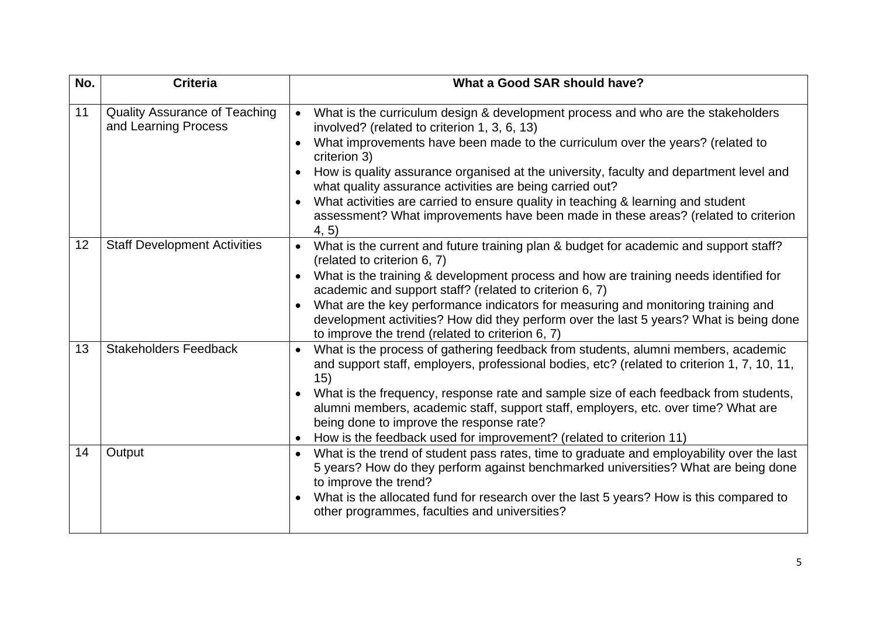| No. | <b>Criteria</b>                                              | What a Good SAR should have?                                                                                                                                                                                                                                                                                                                                                                                                                                                                                                                                                             |
|-----|--------------------------------------------------------------|------------------------------------------------------------------------------------------------------------------------------------------------------------------------------------------------------------------------------------------------------------------------------------------------------------------------------------------------------------------------------------------------------------------------------------------------------------------------------------------------------------------------------------------------------------------------------------------|
| 11  | <b>Quality Assurance of Teaching</b><br>and Learning Process | What is the curriculum design & development process and who are the stakeholders<br>$\bullet$<br>involved? (related to criterion 1, 3, 6, 13)<br>What improvements have been made to the curriculum over the years? (related to<br>criterion 3)<br>How is quality assurance organised at the university, faculty and department level and<br>what quality assurance activities are being carried out?<br>What activities are carried to ensure quality in teaching & learning and student<br>assessment? What improvements have been made in these areas? (related to criterion<br>4, 5) |
| 12  | <b>Staff Development Activities</b>                          | What is the current and future training plan & budget for academic and support staff?<br>$\bullet$<br>(related to criterion 6, 7)<br>What is the training & development process and how are training needs identified for<br>academic and support staff? (related to criterion 6, 7)<br>What are the key performance indicators for measuring and monitoring training and<br>development activities? How did they perform over the last 5 years? What is being done<br>to improve the trend (related to criterion 6, 7)                                                                  |
| 13  | <b>Stakeholders Feedback</b>                                 | What is the process of gathering feedback from students, alumni members, academic<br>$\bullet$<br>and support staff, employers, professional bodies, etc? (related to criterion 1, 7, 10, 11,<br>15)<br>What is the frequency, response rate and sample size of each feedback from students,<br>alumni members, academic staff, support staff, employers, etc. over time? What are<br>being done to improve the response rate?<br>How is the feedback used for improvement? (related to criterion 11)                                                                                    |
| 14  | Output                                                       | What is the trend of student pass rates, time to graduate and employability over the last<br>5 years? How do they perform against benchmarked universities? What are being done<br>to improve the trend?<br>What is the allocated fund for research over the last 5 years? How is this compared to<br>other programmes, faculties and universities?                                                                                                                                                                                                                                      |